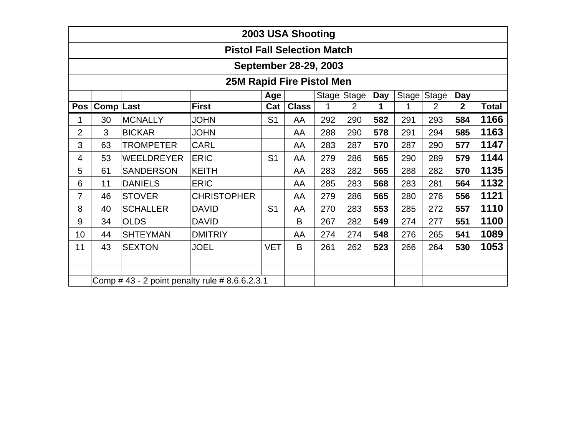| 2003 USA Shooting                  |                                                                                                                  |                   |                    |                |    |     |     |     |     |     |     |      |
|------------------------------------|------------------------------------------------------------------------------------------------------------------|-------------------|--------------------|----------------|----|-----|-----|-----|-----|-----|-----|------|
| <b>Pistol Fall Selection Match</b> |                                                                                                                  |                   |                    |                |    |     |     |     |     |     |     |      |
| September 28-29, 2003              |                                                                                                                  |                   |                    |                |    |     |     |     |     |     |     |      |
| <b>25M Rapid Fire Pistol Men</b>   |                                                                                                                  |                   |                    |                |    |     |     |     |     |     |     |      |
|                                    | Stage Stage<br>Day<br>Stage<br>Stage<br>Age<br>Day                                                               |                   |                    |                |    |     |     |     |     |     |     |      |
| <b>Pos</b>                         | Comp Last<br><b>First</b><br><b>Class</b><br><b>Total</b><br>$\overline{2}$<br>2<br>$\mathbf 2$<br>Cat<br>1<br>1 |                   |                    |                |    |     |     |     |     |     |     |      |
|                                    | 30                                                                                                               | <b>MCNALLY</b>    | <b>JOHN</b>        | S <sub>1</sub> | AA | 292 | 290 | 582 | 291 | 293 | 584 | 1166 |
| $\overline{2}$                     | 3                                                                                                                | <b>BICKAR</b>     | <b>JOHN</b>        |                | AA | 288 | 290 | 578 | 291 | 294 | 585 | 1163 |
| 3                                  | 63                                                                                                               | <b>TROMPETER</b>  | <b>CARL</b>        |                | AA | 283 | 287 | 570 | 287 | 290 | 577 | 1147 |
| 4                                  | 53                                                                                                               | <b>WEELDREYER</b> | <b>ERIC</b>        | S <sub>1</sub> | AA | 279 | 286 | 565 | 290 | 289 | 579 | 1144 |
| 5                                  | 61                                                                                                               | <b>SANDERSON</b>  | <b>KEITH</b>       |                | AA | 283 | 282 | 565 | 288 | 282 | 570 | 1135 |
| 6                                  | 11                                                                                                               | <b>DANIELS</b>    | <b>ERIC</b>        |                | AA | 285 | 283 | 568 | 283 | 281 | 564 | 1132 |
| 7                                  | 46                                                                                                               | <b>STOVER</b>     | <b>CHRISTOPHER</b> |                | AA | 279 | 286 | 565 | 280 | 276 | 556 | 1121 |
| 8                                  | 40                                                                                                               | <b>SCHALLER</b>   | <b>DAVID</b>       | S <sub>1</sub> | AA | 270 | 283 | 553 | 285 | 272 | 557 | 1110 |
| 9                                  | 34                                                                                                               | <b>OLDS</b>       | <b>DAVID</b>       |                | B  | 267 | 282 | 549 | 274 | 277 | 551 | 1100 |
| 10                                 | 44                                                                                                               | <b>SHTEYMAN</b>   | <b>DMITRIY</b>     |                | AA | 274 | 274 | 548 | 276 | 265 | 541 | 1089 |
| 11                                 | 43                                                                                                               | <b>SEXTON</b>     | <b>JOEL</b>        | <b>VET</b>     | B  | 261 | 262 | 523 | 266 | 264 | 530 | 1053 |
|                                    |                                                                                                                  |                   |                    |                |    |     |     |     |     |     |     |      |
|                                    |                                                                                                                  |                   |                    |                |    |     |     |     |     |     |     |      |
|                                    | Comp #43 - 2 point penalty rule #8.6.6.2.3.1                                                                     |                   |                    |                |    |     |     |     |     |     |     |      |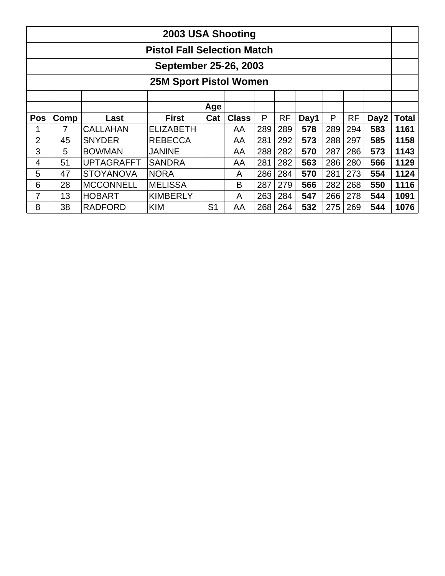|                                    | 2003 USA Shooting |                   |                  |                |              |     |           |      |     |           |                  |              |
|------------------------------------|-------------------|-------------------|------------------|----------------|--------------|-----|-----------|------|-----|-----------|------------------|--------------|
| <b>Pistol Fall Selection Match</b> |                   |                   |                  |                |              |     |           |      |     |           |                  |              |
| September 25-26, 2003              |                   |                   |                  |                |              |     |           |      |     |           |                  |              |
| <b>25M Sport Pistol Women</b>      |                   |                   |                  |                |              |     |           |      |     |           |                  |              |
|                                    |                   |                   |                  |                |              |     |           |      |     |           |                  |              |
|                                    |                   |                   |                  | Age            |              |     |           |      |     |           |                  |              |
| <b>Pos</b>                         | Comp              | Last              | <b>First</b>     | Cat            | <b>Class</b> | P   | <b>RF</b> | Day1 | P   | <b>RF</b> | Day <sub>2</sub> | <b>Total</b> |
|                                    |                   | <b>CALLAHAN</b>   | <b>ELIZABETH</b> |                | AA           | 289 | 289       | 578  | 289 | 294       | 583              | 1161         |
| $\overline{2}$                     | 45                | <b>SNYDER</b>     | <b>REBECCA</b>   |                | AA           | 281 | 292       | 573  | 288 | 297       | 585              | 1158         |
| 3                                  | 5                 | <b>BOWMAN</b>     | <b>JANINE</b>    |                | AA           | 288 | 282       | 570  | 287 | 286       | 573              | 1143         |
| 4                                  | 51                | <b>UPTAGRAFFT</b> | <b>SANDRA</b>    |                | AA           | 281 | 282       | 563  | 286 | 280       | 566              | 1129         |
| 5                                  | 47                | <b>STOYANOVA</b>  | <b>NORA</b>      |                | A            | 286 | 284       | 570  | 281 | 273       | 554              | 1124         |
| 6                                  | 28                | <b>MCCONNELL</b>  | <b>MELISSA</b>   |                | B            | 287 | 279       | 566  | 282 | 268       | 550              | 1116         |
| 7                                  | 13                | <b>HOBART</b>     | <b>KIMBERLY</b>  |                | A            | 263 | 284       | 547  | 266 | 278       | 544              | 1091         |
| 8                                  | 38                | <b>RADFORD</b>    | <b>KIM</b>       | S <sub>1</sub> | AA           | 268 | 264       | 532  | 275 | 269       | 544              | 1076         |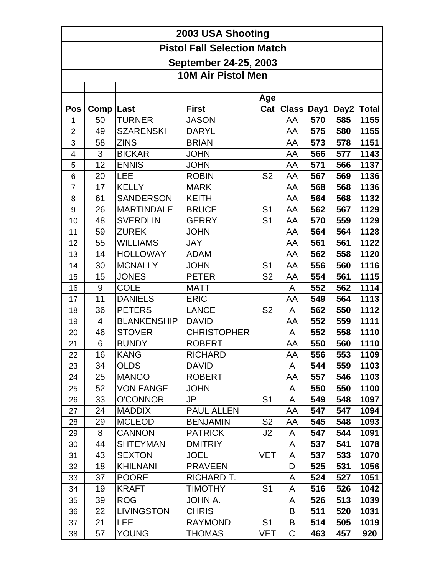|                         | 2003 USA Shooting                                  |                    |                    |                |            |     |                  |              |  |  |  |
|-------------------------|----------------------------------------------------|--------------------|--------------------|----------------|------------|-----|------------------|--------------|--|--|--|
|                         | <b>Pistol Fall Selection Match</b>                 |                    |                    |                |            |     |                  |              |  |  |  |
|                         |                                                    |                    |                    |                |            |     |                  |              |  |  |  |
|                         | September 24-25, 2003<br><b>10M Air Pistol Men</b> |                    |                    |                |            |     |                  |              |  |  |  |
|                         |                                                    |                    |                    |                |            |     |                  |              |  |  |  |
|                         |                                                    |                    |                    | Age            |            |     |                  |              |  |  |  |
| <b>Pos</b>              | Comp Last                                          |                    | <b>First</b>       | Cat            | Class Day1 |     | Day <sub>2</sub> | <b>Total</b> |  |  |  |
| 1                       | 50                                                 | <b>TURNER</b>      | <b>JASON</b>       |                | AA         | 570 | 585              | 1155         |  |  |  |
| $\overline{2}$          | 49                                                 | <b>SZARENSKI</b>   | <b>DARYL</b>       |                | AA         | 575 | 580              | 1155         |  |  |  |
| 3                       | 58                                                 | <b>ZINS</b>        | <b>BRIAN</b>       |                | AA         | 573 | 578              | 1151         |  |  |  |
| $\overline{\mathbf{4}}$ | 3                                                  | <b>BICKAR</b>      | JOHN               |                | AA         | 566 | 577              | 1143         |  |  |  |
| 5                       | 12                                                 | <b>ENNIS</b>       | <b>JOHN</b>        |                | AA         | 571 | 566              | 1137         |  |  |  |
| 6                       | 20                                                 | <b>LEE</b>         | <b>ROBIN</b>       | S <sub>2</sub> | AA         | 567 | 569              | 1136         |  |  |  |
| $\overline{7}$          | 17                                                 | <b>KELLY</b>       | <b>MARK</b>        |                | AA         | 568 | 568              | 1136         |  |  |  |
| 8                       | 61                                                 | <b>SANDERSON</b>   | <b>KEITH</b>       |                | AA         | 564 | 568              | 1132         |  |  |  |
| 9                       | 26                                                 | <b>MARTINDALE</b>  | <b>BRUCE</b>       | S <sub>1</sub> | AA         | 562 | 567              | 1129         |  |  |  |
| 10                      | 48                                                 | <b>SVERDLIN</b>    | <b>GERRY</b>       | S <sub>1</sub> | AA         | 570 | 559              | 1129         |  |  |  |
| 11                      | 59                                                 | <b>ZUREK</b>       | <b>JOHN</b>        |                | AA         | 564 | 564              | 1128         |  |  |  |
| 12                      | 55                                                 | <b>WILLIAMS</b>    | JAY                |                | AA         | 561 | 561              | 1122         |  |  |  |
| 13                      | 14                                                 | <b>HOLLOWAY</b>    | ADAM               |                | AA         | 562 | 558              | 1120         |  |  |  |
| 14                      | 30                                                 | <b>MCNALLY</b>     | <b>JOHN</b>        | S <sub>1</sub> | AA         | 556 | 560              | 1116         |  |  |  |
| 15                      | 15                                                 | <b>JONES</b>       | <b>PETER</b>       | S <sub>2</sub> | AA         | 554 | 561              | 1115         |  |  |  |
| 16                      | $\boldsymbol{9}$                                   | <b>COLE</b>        | <b>MATT</b>        |                | A          | 552 | 562              | 1114         |  |  |  |
| 17                      | 11                                                 | <b>DANIELS</b>     | <b>ERIC</b>        |                | AA         | 549 | 564              | 1113         |  |  |  |
| 18                      | 36                                                 | <b>PETERS</b>      | <b>LANCE</b>       | S <sub>2</sub> | A          | 562 | 550              | 1112         |  |  |  |
| 19                      | 4                                                  | <b>BLANKENSHIP</b> | <b>DAVID</b>       |                | AA         | 552 | 559              | 1111         |  |  |  |
| 20                      | 46                                                 | <b>STOVER</b>      | <b>CHRISTOPHER</b> |                | A          | 552 | 558              | 1110         |  |  |  |
| 21                      | 6                                                  | <b>BUNDY</b>       | <b>ROBERT</b>      |                | AA         | 550 | 560              | 1110         |  |  |  |
| 22                      | 16                                                 | <b>KANG</b>        | <b>RICHARD</b>     |                | AA         | 556 | 553              | 1109         |  |  |  |
| 23                      | 34                                                 | <b>OLDS</b>        | <b>DAVID</b>       |                | A          | 544 | 559              | 1103         |  |  |  |
| 24                      | 25                                                 | <b>MANGO</b>       | <b>ROBERT</b>      |                | AA         | 557 | 546              | 1103         |  |  |  |
| 25                      | 52                                                 | <b>VON FANGE</b>   | <b>JOHN</b>        |                | A          | 550 | 550              | 1100         |  |  |  |
| 26                      | 33                                                 | <b>O'CONNOR</b>    | JP                 | S <sub>1</sub> | A          | 549 | 548              | 1097         |  |  |  |
| 27                      | 24                                                 | <b>MADDIX</b>      | <b>PAUL ALLEN</b>  |                | AA         | 547 | 547              | 1094         |  |  |  |
| 28                      | 29                                                 | <b>MCLEOD</b>      | <b>BENJAMIN</b>    | S <sub>2</sub> | AA         | 545 | 548              | 1093         |  |  |  |
| 29                      | 8                                                  | <b>CANNON</b>      | <b>PATRICK</b>     | J2             | A          | 547 | 544              | 1091         |  |  |  |
| 30                      | 44                                                 | <b>SHTEYMAN</b>    | <b>DMITRIY</b>     |                | A          | 537 | 541              | 1078         |  |  |  |
| 31                      | 43                                                 | <b>SEXTON</b>      | JOEL               | <b>VET</b>     | A          | 537 | 533              | 1070         |  |  |  |
| 32                      | 18                                                 | <b>KHILNANI</b>    | <b>PRAVEEN</b>     |                | D          | 525 | 531              | 1056         |  |  |  |
| 33                      | 37                                                 | <b>POORE</b>       | RICHARD T.         |                | A          | 524 | 527              | 1051         |  |  |  |
| 34                      | 19                                                 | <b>KRAFT</b>       | <b>TIMOTHY</b>     | S <sub>1</sub> | A          | 516 | 526              | 1042         |  |  |  |
| 35                      | 39                                                 | <b>ROG</b>         | JOHN A.            |                | A          | 526 | 513              | 1039         |  |  |  |
| 36                      | 22                                                 | <b>LIVINGSTON</b>  | <b>CHRIS</b>       |                | B          | 511 | 520              | 1031         |  |  |  |
| 37                      | 21                                                 | <b>LEE</b>         | <b>RAYMOND</b>     | S <sub>1</sub> | B          | 514 | 505              | 1019         |  |  |  |
| 38                      | 57                                                 | <b>YOUNG</b>       | <b>THOMAS</b>      | <b>VET</b>     | C          | 463 | 457              | 920          |  |  |  |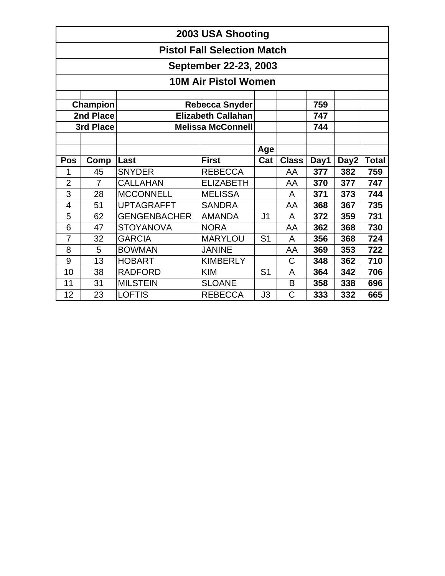| 2003 USA Shooting           |                                          |                     |                           |                |              |      |                  |       |  |  |  |  |
|-----------------------------|------------------------------------------|---------------------|---------------------------|----------------|--------------|------|------------------|-------|--|--|--|--|
|                             | <b>Pistol Fall Selection Match</b>       |                     |                           |                |              |      |                  |       |  |  |  |  |
| September 22-23, 2003       |                                          |                     |                           |                |              |      |                  |       |  |  |  |  |
| <b>10M Air Pistol Women</b> |                                          |                     |                           |                |              |      |                  |       |  |  |  |  |
|                             | Champion<br><b>Rebecca Snyder</b><br>759 |                     |                           |                |              |      |                  |       |  |  |  |  |
|                             | 2nd Place                                |                     | <b>Elizabeth Callahan</b> |                |              | 747  |                  |       |  |  |  |  |
|                             | 3rd Place                                |                     | <b>Melissa McConnell</b>  |                |              | 744  |                  |       |  |  |  |  |
|                             |                                          |                     |                           |                |              |      |                  |       |  |  |  |  |
|                             |                                          |                     |                           | Age            |              |      |                  |       |  |  |  |  |
| <b>Pos</b>                  | Comp                                     | Last                | <b>First</b>              | Cat            | <b>Class</b> | Day1 | Day <sub>2</sub> | Total |  |  |  |  |
| 1                           | 45                                       | <b>SNYDER</b>       | <b>REBECCA</b>            |                | AA           | 377  | 382              | 759   |  |  |  |  |
| $\overline{2}$              | $\overline{7}$                           | <b>CALLAHAN</b>     | <b>ELIZABETH</b>          |                | AA           | 370  | 377              | 747   |  |  |  |  |
| 3                           | 28                                       | <b>MCCONNELL</b>    | <b>MELISSA</b>            |                | A            | 371  | 373              | 744   |  |  |  |  |
| $\overline{4}$              | 51                                       | <b>UPTAGRAFFT</b>   | <b>SANDRA</b>             |                | AA           | 368  | 367              | 735   |  |  |  |  |
| 5                           | 62                                       | <b>GENGENBACHER</b> | <b>AMANDA</b>             | J <sub>1</sub> | A            | 372  | 359              | 731   |  |  |  |  |
| 6                           | 47                                       | <b>STOYANOVA</b>    | <b>NORA</b>               |                | AA           | 362  | 368              | 730   |  |  |  |  |
| 7                           | 32                                       | <b>GARCIA</b>       | <b>MARYLOU</b>            | S <sub>1</sub> | A            | 356  | 368              | 724   |  |  |  |  |
| 8                           | 5                                        | <b>BOWMAN</b>       | <b>JANINE</b>             |                | AA           | 369  | 353              | 722   |  |  |  |  |
| 9                           | 13                                       | <b>HOBART</b>       | <b>KIMBERLY</b>           |                | $\mathsf C$  | 348  | 362              | 710   |  |  |  |  |
| 10                          | 38                                       | <b>RADFORD</b>      | <b>KIM</b>                | S <sub>1</sub> | A            | 364  | 342              | 706   |  |  |  |  |
| 11                          | 31                                       | <b>MILSTEIN</b>     | <b>SLOANE</b>             |                | B            | 358  | 338              | 696   |  |  |  |  |
| 12                          | 23                                       | <b>LOFTIS</b>       | <b>REBECCA</b>            | J3             | C            | 333  | 332              | 665   |  |  |  |  |